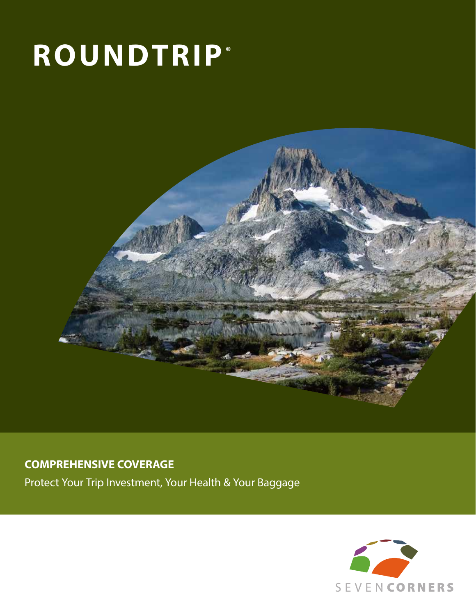# **ROUNDTRIP®**



## **COMPREHENSIVE COVERAGE**

Protect Your Trip Investment, Your Health & Your Baggage

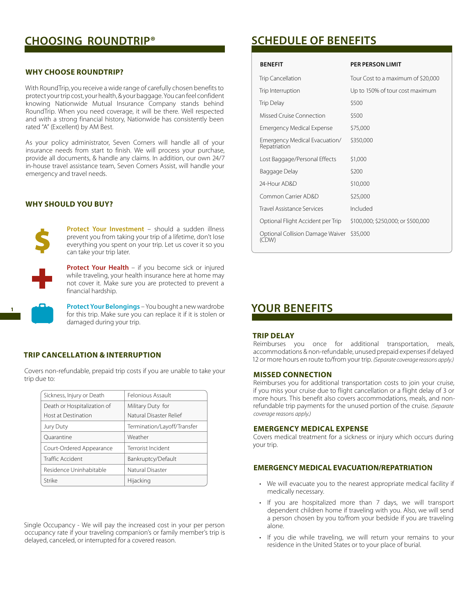## **CHOOSING ROUNDTRIP® SCHEDULE OF BENEFITS**

#### **WHY CHOOSE ROUNDTRIP?**

With RoundTrip, you receive a wide range of carefully chosen benefits to protect your trip cost, your health, & your baggage. You can feel confident knowing Nationwide Mutual Insurance Company stands behind RoundTrip. When you need coverage, it will be there. Well respected and with a strong financial history, Nationwide has consistently been rated "A" (Excellent) by AM Best.

As your policy administrator, Seven Corners will handle all of your insurance needs from start to finish. We will process your purchase, provide all documents, & handle any claims. In addition, our own 24/7 in-house travel assistance team, Seven Corners Assist, will handle your emergency and travel needs.

#### **WHY SHOULD YOU BUY?**



**Protect Your Investment** – should a sudden illness prevent you from taking your trip of a lifetime, don't lose everything you spent on your trip. Let us cover it so you can take your trip later.

**Protect Your Health** – if you become sick or injured while traveling, your health insurance here at home may not cover it. Make sure you are protected to prevent a financial hardship.

**Protect Your Belongings** – You bought a new wardrobe for this trip. Make sure you can replace it if it is stolen or damaged during your trip.

#### **TRIP CANCELLATION & INTERRUPTION**

Covers non-refundable, prepaid trip costs if you are unable to take your trip due to:

| Sickness, Injury or Death   | Felonious Assault           |
|-----------------------------|-----------------------------|
| Death or Hospitalization of | Military Duty for           |
| <b>Host at Destination</b>  | Natural Disaster Relief     |
| Jury Duty                   | Termination/Layoff/Transfer |
| Ouarantine                  | Weather                     |
| Court-Ordered Appearance    | Terrorist Incident          |
| <b>Traffic Accident</b>     | Bankruptcy/Default          |
| Residence Uninhabitable     | Natural Disaster            |
| Strike                      | Hijacking                   |

Single Occupancy - We will pay the increased cost in your per person occupancy rate if your traveling companion's or family member's trip is delayed, canceled, or interrupted for a covered reason.

| <b>BENEFIT</b>                                | <b>PER PERSON LIMIT</b>            |
|-----------------------------------------------|------------------------------------|
| Trip Cancellation                             | Tour Cost to a maximum of \$20,000 |
| Trip Interruption                             | Up to 150% of tour cost maximum    |
| Trip Delay                                    | \$500                              |
| Missed Cruise Connection                      | \$500                              |
| <b>Emergency Medical Expense</b>              | \$75,000                           |
| Emergency Medical Evacuation/<br>Repatriation | \$350,000                          |
| Lost Baggage/Personal Effects                 | \$1,000                            |
| Baggage Delay                                 | \$200                              |
| 24-Hour AD&D                                  | \$10,000                           |
| Common Carrier AD&D                           | \$25,000                           |
| <b>Travel Assistance Services</b>             | Included                           |
| Optional Flight Accident per Trip             | \$100,000; \$250,000; or \$500,000 |
| Optional Collision Damage Waiver<br>(CDW)     | \$35,000                           |

## **YOUR BENEFITS**

#### **TRIP DELAY**

Reimburses you once for additional transportation, meals, accommodations & non-refundable, unused prepaid expenses if delayed 12 or more hours en route to/from your trip. *(Separate coverage reasons apply.)*

#### **MISSED CONNECTION**

Reimburses you for additional transportation costs to join your cruise, if you miss your cruise due to flight cancellation or a flight delay of 3 or more hours. This benefit also covers accommodations, meals, and nonrefundable trip payments for the unused portion of the cruise. *(Separate coverage reasons apply.)* 

#### **EMERGENCY MEDICAL EXPENSE**

Covers medical treatment for a sickness or injury which occurs during your trip.

### **EMERGENCY MEDICAL EVACUATION/REPATRIATION**

- We will evacuate you to the nearest appropriate medical facility if medically necessary.
- If you are hospitalized more than 7 days, we will transport dependent children home if traveling with you. Also, we will send a person chosen by you to/from your bedside if you are traveling alone.
- If you die while traveling, we will return your remains to your residence in the United States or to your place of burial.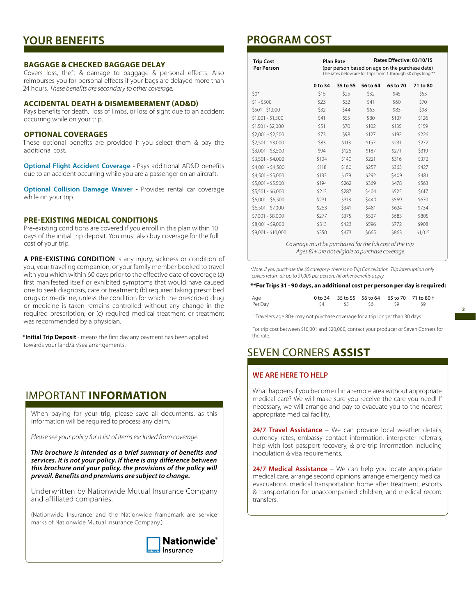## **YOUR BENEFITS**

#### **BAGGAGE & CHECKED BAGGAGE DELAY**

Covers loss, theft & damage to baggage & personal effects. Also reimburses you for personal effects if your bags are delayed more than 24 hours. *These benefits are secondary to other coverage.*

#### **ACCIDENTAL DEATH & DISMEMBERMENT (AD&D)**

Pays benefits for death, loss of limbs, or loss of sight due to an accident occurring while on your trip.

#### **OPTIONAL COVERAGES**

These optional benefits are provided if you select them & pay the additional cost.

**Optional Flight Accident Coverage - Pays additional AD&D benefits** due to an accident occurring while you are a passenger on an aircraft.

**Optional Collision Damage Waiver -** Provides rental car coverage while on your trip.

#### **PRE-EXISTING MEDICAL CONDITIONS**

Pre-existing conditions are covered if you enroll in this plan within 10 days of the initial trip deposit. You must also buy coverage for the full cost of your trip.

**A PRE-EXISTING CONDITION** is any injury, sickness or condition of you, your traveling companion, or your family member booked to travel with you which within 60 days prior to the effective date of coverage (a) first manifested itself or exhibited symptoms that would have caused one to seek diagnosis, care or treatment; (b) required taking prescribed drugs or medicine, unless the condition for which the prescribed drug or medicine is taken remains controlled without any change in the required prescription; or (c) required medical treatment or treatment was recommended by a physician.

**\*Initial Trip Deposit** - means the first day any payment has been applied towards your land/air/sea arrangements.

## IMPORTANT **INFORMATION**

When paying for your trip, please save all documents, as this information will be required to process any claim.

*Please see your policy for a list of items excluded from coverage.*

*This brochure is intended as a brief summary of benefits and services. It is not your policy. If there is any difference between this brochure and your policy, the provisions of the policy will prevail. Benefits and premiums are subject to change.*

Underwritten by Nationwide Mutual Insurance Company and affiliated companies.

(Nationwide Insurance and the Nationwide framemark are service marks of Nationwide Mutual Insurance Company.)



## **PROGRAM COST**

| <b>Trip Cost</b><br><b>Per Person</b> | Rates Effective: 03/10/15<br><b>Plan Rate</b><br>(per person based on age on the purchase date)<br>The rates below are for trips from 1 through 30 days long.** |          |          |                                                                   |          |
|---------------------------------------|-----------------------------------------------------------------------------------------------------------------------------------------------------------------|----------|----------|-------------------------------------------------------------------|----------|
|                                       | 0 to 34                                                                                                                                                         | 35 to 55 | 56 to 64 | 65 to 70                                                          | 71 to 80 |
| $50*$                                 | \$16                                                                                                                                                            | \$25     | \$32     | \$45                                                              | \$53     |
| $$1 - $500$                           | \$23                                                                                                                                                            | \$32     | \$41     | \$60                                                              | \$70     |
| $$501 - $1,000$                       | \$32                                                                                                                                                            | \$44     | \$63     | \$83                                                              | \$98     |
| $$1,001 - $1,500$                     | \$41                                                                                                                                                            | \$55     | \$80     | \$107                                                             | \$126    |
| $$1,501 - $2,000$                     | \$51                                                                                                                                                            | \$70     | \$102    | \$135                                                             | \$159    |
| $$2,001 - $2,500$                     | \$73                                                                                                                                                            | \$98     | \$127    | \$192                                                             | \$226    |
| $$2,501 - $3,000$                     | \$83                                                                                                                                                            | \$113    | \$157    | \$231                                                             | \$272    |
| $$3,001 - $3,500$                     | \$94                                                                                                                                                            | \$126    | \$187    | \$271                                                             | \$319    |
| $$3,501 - $4,000$                     | \$104                                                                                                                                                           | \$140    | \$221    | \$316                                                             | \$372    |
| $$4,001 - $4,500$                     | \$118                                                                                                                                                           | \$160    | \$257    | \$363                                                             | \$427    |
| $$4,501 - $5,000$                     | \$133                                                                                                                                                           | \$179    | \$292    | \$409                                                             | \$481    |
| \$5,001 - \$5,500                     | \$194                                                                                                                                                           | \$262    | \$369    | \$478                                                             | \$563    |
| $$5,501 - $6,000$                     | \$213                                                                                                                                                           | \$287    | \$404    | \$525                                                             | \$617    |
| $$6,001 - $6,500$                     | \$231                                                                                                                                                           | \$313    | \$440    | \$569                                                             | \$670    |
| $$6,501 - $7,000$                     | \$253                                                                                                                                                           | \$341    | \$481    | \$624                                                             | \$734    |
| \$7,001 - \$8,000                     | \$277                                                                                                                                                           | \$375    | \$527    | \$685                                                             | \$805    |
| \$8,001 - \$9,000                     | \$313                                                                                                                                                           | \$423    | \$596    | \$772                                                             | \$908    |
| \$9,001 - \$10,000                    | \$350                                                                                                                                                           | \$473    | \$665    | \$863<br>Coverage must be purchased for the full cost of the trip | \$1,015  |

*Coverage must be purchased for the full cost of the trip. Ages 81+ are not eligible to purchase coverage.*

*\*Note: If you purchase the \$0 category- there is no Trip Cancellation. Trip Interruption only covers return air up to \$1,000 per person. All other benefits apply.*

#### **\*\*For Trips 31 - 90 days, an additional cost per person per day is required:**

| Age     |  |                | 0 to 34 35 to 55 56 to 64 65 to 70 71 to 80 $\dagger$ |
|---------|--|----------------|-------------------------------------------------------|
| Per Day |  | S4 S5 S6 S9 S9 |                                                       |

† Travelers age 80+ may not purchase coverage for a trip longer than 30 days.

For trip cost between \$10,001 and \$20,000, contact your producer or Seven Corners for the rate.

## SEVEN CORNERS **ASSIST**

#### **WE ARE HERE TO HELP**

What happens if you become ill in a remote area without appropriate medical care? We will make sure you receive the care you need! If necessary, we will arrange and pay to evacuate you to the nearest appropriate medical facility.

**24/7 Travel Assistance** – We can provide local weather details, currency rates, embassy contact information, interpreter referrals, help with lost passport recovery, & pre-trip information including inoculation & visa requirements.

**24/7 Medical Assistance** – We can help you locate appropriate medical care, arrange second opinions, arrange emergency medical evacuations, medical transportation home after treatment, escorts & transportation for unaccompanied children, and medical record transfers.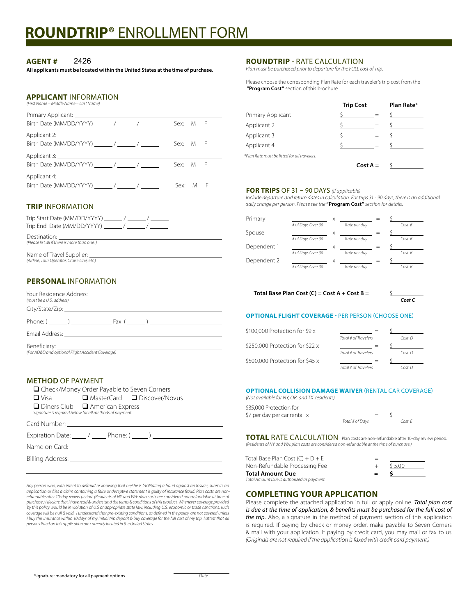# **ROUNDTRIP**® ENROLLMENT FORM

#### **AGENT #** 2426

**All applicants must be located within the United States at the time of purchase.** 

#### **APPLICANT** INFORMATION

*(First Name – Middle Name – Last Name)*

|                                              | Sex: M F |  |
|----------------------------------------------|----------|--|
|                                              |          |  |
| Birth Date (MM/DD/YYYY) _________/ ________/ | Sex: M F |  |
|                                              |          |  |
| Birth Date (MM/DD/YYYY) / / /                | Sex: M F |  |
|                                              |          |  |
| Birth Date (MM/DD/YYYY) / / /                | Sex: M F |  |

### **TRIP** INFORMATION

| Trip Start Date (MM/DD/YYYY) / / /<br>Trip End Date (MM/DD/YYYY) / / /    |
|---------------------------------------------------------------------------|
| Destination:<br>(Please list all if there is more than one.)              |
| Name of Travel Supplier: _<br>(Airline, Tour Operator, Cruise Line, etc.) |

## **PERSONAL** INFORMATION

| (must be a U.S. address)                                                                                            |  |
|---------------------------------------------------------------------------------------------------------------------|--|
|                                                                                                                     |  |
| Phone: $\left( \begin{array}{ccc} & & \end{array} \right)$ Fax: $\left( \begin{array}{ccc} & & \end{array} \right)$ |  |
|                                                                                                                     |  |
| (For AD&D and optional Flight Accident Coverage)                                                                    |  |

#### **METHOD** OF PAYMENT

 $\overline{a}$ İ

| □ Check/Money Order Payable to Seven Corners                                                                                                                                                                                  |                                                    |  |
|-------------------------------------------------------------------------------------------------------------------------------------------------------------------------------------------------------------------------------|----------------------------------------------------|--|
| $\Box$ Visa                                                                                                                                                                                                                   | $\Box$ MasterCard $\Box$ Discover/Novus            |  |
| $\Box$ Diners Club $\Box$ American Express<br>Signature is required below for all methods of payment.                                                                                                                         |                                                    |  |
|                                                                                                                                                                                                                               |                                                    |  |
|                                                                                                                                                                                                                               | Expiration Date: $\angle$ / ______ Phone: $(\_\_)$ |  |
| Name on Card: The contract of the contract of the contract of the contract of the contract of the contract of the contract of the contract of the contract of the contract of the contract of the contract of the contract of |                                                    |  |
| Billing Address: ________________                                                                                                                                                                                             |                                                    |  |

*Any person who, with intent to defraud or knowing that he/she is facilitating a fraud against an Insurer, submits an*  application or files a claim containing a false or deceptive statement is guilty of insurance fraud. Plan costs are non-<br>refundable after 10-day review period. (Residents of NY and WA: plan costs are considered non-refunda *purchase.) I declare that I have read & understand the terms & conditions of this product. Whenever coverage provided by this policy would be in violation of U.S or appropriate state law, including U.S. economic or trade sanctions, such*  coverage will be null & void. I understand that pre-existing conditions, as defined in the policy, are not covered unless<br>I buy this insurance within 10 days of my initial trip deposit & buy coverage for the full cost of m *persons listed on this application are currently located in the United States.* 

#### **ROUNDTRIP** - RATE CALCULATION

*Plan must be purchased prior to departure for the FULL cost of Trip.* 

Please choose the corresponding Plan Rate for each traveler's trip cost from the  **"Program Cost"** section of this brochure.

|                                              | <b>Trip Cost</b> |            | Plan Rate* |
|----------------------------------------------|------------------|------------|------------|
| Primary Applicant                            |                  |            |            |
| Applicant 2                                  |                  |            |            |
| Applicant 3                                  |                  |            |            |
| Applicant 4                                  |                  |            |            |
| *Plan Rate must be listed for all travelers. |                  |            |            |
|                                              |                  | $Cost A =$ |            |

#### **FOR TRIPS** OF 31 – 90 DAYS *(if applicable)*

*Include departure and return dates in calculation. For trips 31 - 90 days, there is an additional daily charge per person. Please see the* **"Program Cost"** *section for details.*

| Primary     | # of Days Over 30 | X | Rate per day |  | CostB  |
|-------------|-------------------|---|--------------|--|--------|
| Spouse      |                   |   |              |  |        |
|             | # of Days Over 30 |   | Rate per day |  | CostB  |
| Dependent 1 |                   |   |              |  |        |
|             | # of Days Over 30 |   | Rate per day |  | CostB  |
| Dependent 2 |                   |   |              |  |        |
|             | # of Days Over 30 |   | Rate per day |  | Cost B |

#### **Total Base Plan Cost (C) = Cost A + Cost B =** \$

 *Cost C*

#### **OPTIONAL FLIGHT COVERAGE -** PER PERSON (CHOOSE ONE)

| \$100,000 Protection for \$9 x  |                      |        |
|---------------------------------|----------------------|--------|
|                                 | Total # of Travelers | Cost D |
| \$250,000 Protection for \$22 x |                      |        |
|                                 | Total # of Travelers | Cost D |
| \$500,000 Protection for \$45 x |                      |        |
|                                 | Total # of Travelers | Cost D |

#### **OPTIONAL COLLISION DAMAGE WAIVER** (RENTAL CAR COVERAGE)

*(Not available for NY, OR, and TX residents)*

| \$35,000 Protection for      |                 |        |
|------------------------------|-----------------|--------|
| \$7 per day per car rental x |                 |        |
|                              | Total # of Days | Cost F |

**TOTAL** RATE CALCULATION Plan costs are non-refundable after 10-day review period. *(Residents of NY and WA: plan costs are considered non-refundable at the time of purchase.)* 

| Total Base Plan Cost $(C) + D + E$         | $=$ |         |
|--------------------------------------------|-----|---------|
| Non-Refundable Processing Fee              |     | \$ 5.00 |
| Total Amount Due                           |     |         |
| Total Amount Due is authorized as payment. |     |         |

#### **COMPLETING YOUR APPLICATION**

Please complete the attached application in full or apply online. *Total plan cost is due at the time of application, & benefits must be purchased for the full cost of the trip.* Also, a signature in the method of payment section of this application is required. If paying by check or money order, make payable to Seven Corners & mail with your application. If paying by credit card, you may mail or fax to us. *(Originals are not required if the application is faxed with credit card payment.)*